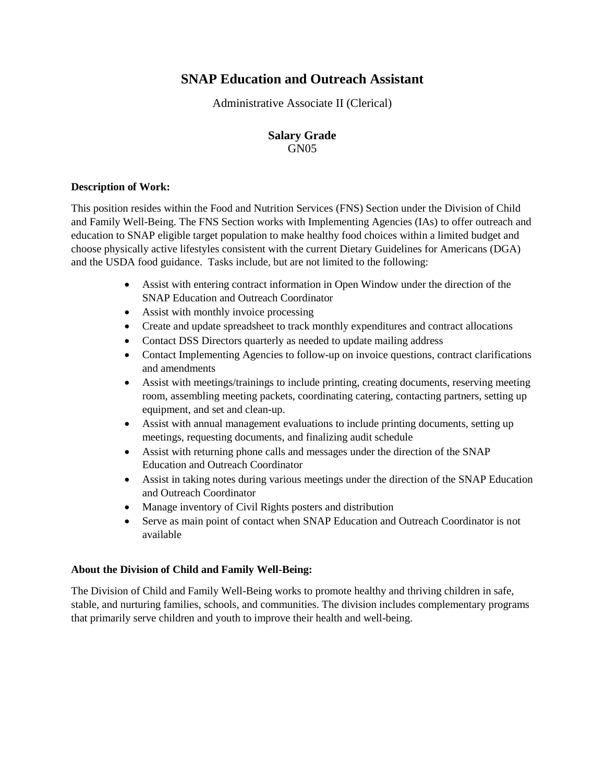# **SNAP Education and Outreach Assistant**

Administrative Associate II (Clerical)

## **Salary Grade** GN<sub>05</sub>

#### **Description of Work:**

This position resides within the Food and Nutrition Services (FNS) Section under the Division of Child and Family Well-Being. The FNS Section works with Implementing Agencies (IAs) to offer outreach and education to SNAP eligible target population to make healthy food choices within a limited budget and choose physically active lifestyles consistent with the current Dietary Guidelines for Americans (DGA) and the USDA food guidance. Tasks include, but are not limited to the following:

- Assist with entering contract information in Open Window under the direction of the SNAP Education and Outreach Coordinator
- Assist with monthly invoice processing
- Create and update spreadsheet to track monthly expenditures and contract allocations
- Contact DSS Directors quarterly as needed to update mailing address
- Contact Implementing Agencies to follow-up on invoice questions, contract clarifications and amendments
- Assist with meetings/trainings to include printing, creating documents, reserving meeting room, assembling meeting packets, coordinating catering, contacting partners, setting up equipment, and set and clean-up.
- Assist with annual management evaluations to include printing documents, setting up meetings, requesting documents, and finalizing audit schedule
- Assist with returning phone calls and messages under the direction of the SNAP Education and Outreach Coordinator
- Assist in taking notes during various meetings under the direction of the SNAP Education and Outreach Coordinator
- Manage inventory of Civil Rights posters and distribution
- Serve as main point of contact when SNAP Education and Outreach Coordinator is not available

### **About the Division of Child and Family Well-Being:**

The Division of Child and Family Well-Being works to promote healthy and thriving children in safe, stable, and nurturing families, schools, and communities. The division includes complementary programs that primarily serve children and youth to improve their health and well-being.